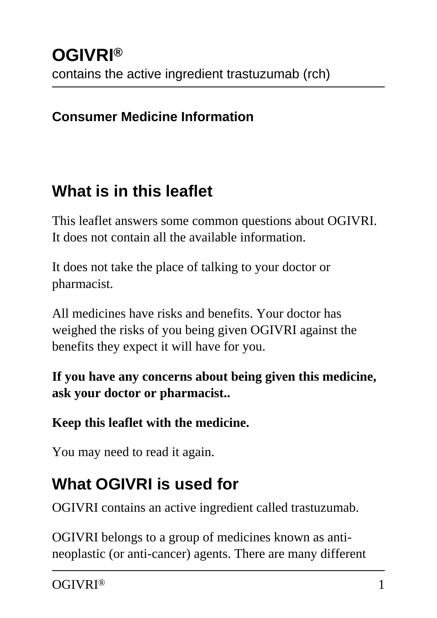#### **Consumer Medicine Information**

### **What is in this leaflet**

This leaflet answers some common questions about OGIVRI. It does not contain all the available information.

It does not take the place of talking to your doctor or pharmacist.

All medicines have risks and benefits. Your doctor has weighed the risks of you being given OGIVRI against the benefits they expect it will have for you.

**If you have any concerns about being given this medicine, ask your doctor or pharmacist..**

#### **Keep this leaflet with the medicine.**

You may need to read it again.

## **What OGIVRI is used for**

OGIVRI contains an active ingredient called trastuzumab.

OGIVRI belongs to a group of medicines known as antineoplastic (or anti-cancer) agents. There are many different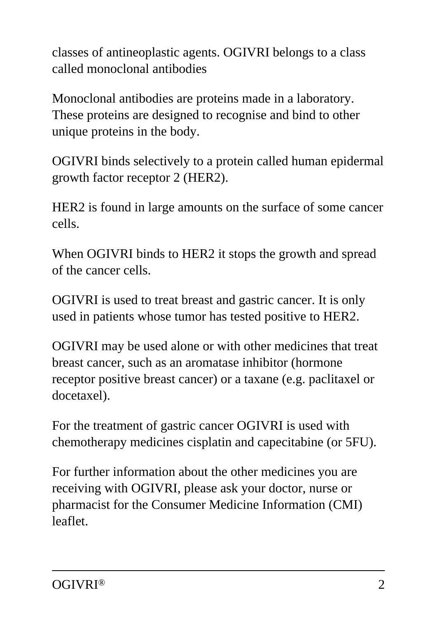classes of antineoplastic agents. OGIVRI belongs to a class called monoclonal antibodies

Monoclonal antibodies are proteins made in a laboratory. These proteins are designed to recognise and bind to other unique proteins in the body.

OGIVRI binds selectively to a protein called human epidermal growth factor receptor 2 (HER2).

HER2 is found in large amounts on the surface of some cancer cells.

When OGIVRI binds to HER2 it stops the growth and spread of the cancer cells.

OGIVRI is used to treat breast and gastric cancer. It is only used in patients whose tumor has tested positive to HER2.

OGIVRI may be used alone or with other medicines that treat breast cancer, such as an aromatase inhibitor (hormone receptor positive breast cancer) or a taxane (e.g. paclitaxel or docetaxel).

For the treatment of gastric cancer OGIVRI is used with chemotherapy medicines cisplatin and capecitabine (or 5FU).

For further information about the other medicines you are receiving with OGIVRI, please ask your doctor, nurse or pharmacist for the Consumer Medicine Information (CMI) leaflet.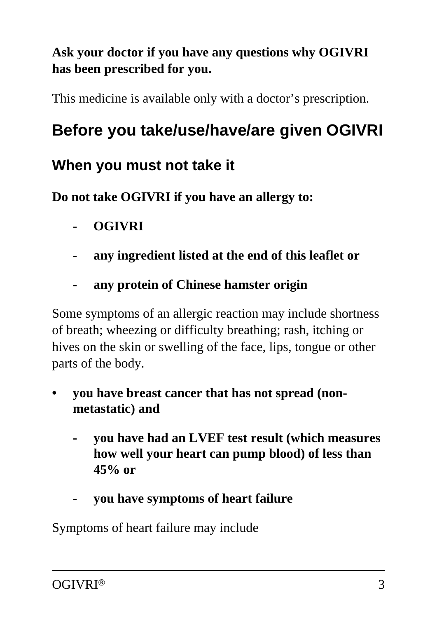#### **Ask your doctor if you have any questions why OGIVRI has been prescribed for you.**

This medicine is available only with a doctor's prescription.

## **Before you take/use/have/are given OGIVRI**

#### **When you must not take it**

**Do not take OGIVRI if you have an allergy to:**

- **OGIVRI**
- **any ingredient listed at the end of this leaflet or**
- **any protein of Chinese hamster origin**

Some symptoms of an allergic reaction may include shortness of breath; wheezing or difficulty breathing; rash, itching or hives on the skin or swelling of the face, lips, tongue or other parts of the body.

- **you have breast cancer that has not spread (nonmetastatic) and**
	- **you have had an LVEF test result (which measures how well your heart can pump blood) of less than 45% or**
	- **you have symptoms of heart failure**

Symptoms of heart failure may include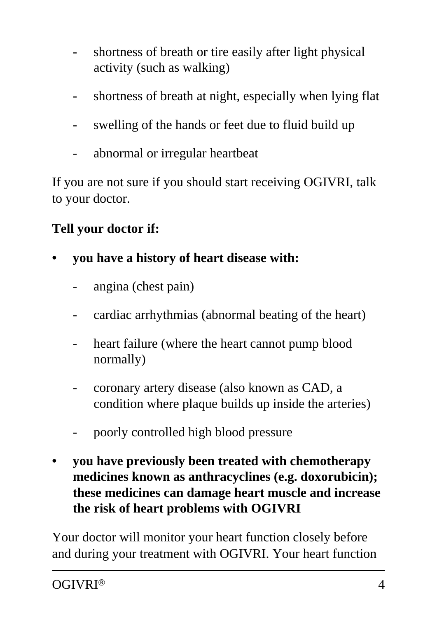- shortness of breath or tire easily after light physical activity (such as walking)
- shortness of breath at night, especially when lying flat
- swelling of the hands or feet due to fluid build up
- abnormal or irregular heartbeat

If you are not sure if you should start receiving OGIVRI, talk to your doctor.

#### **Tell your doctor if:**

- **you have a history of heart disease with:**
	- angina (chest pain)
	- cardiac arrhythmias (abnormal beating of the heart)
	- heart failure (where the heart cannot pump blood normally)
	- coronary artery disease (also known as CAD, a condition where plaque builds up inside the arteries)
	- poorly controlled high blood pressure
- **you have previously been treated with chemotherapy medicines known as anthracyclines (e.g. doxorubicin); these medicines can damage heart muscle and increase the risk of heart problems with OGIVRI**

Your doctor will monitor your heart function closely before and during your treatment with OGIVRI. Your heart function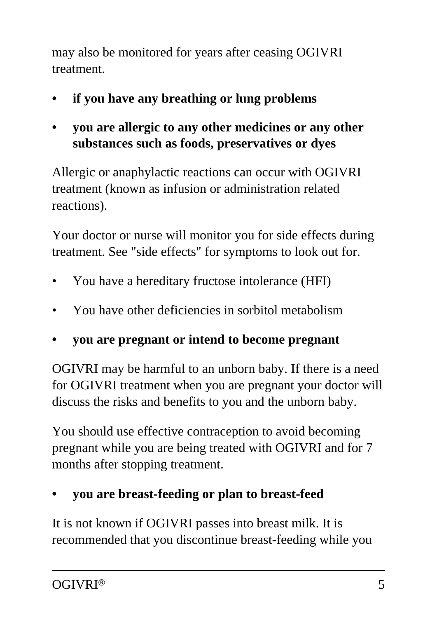may also be monitored for years after ceasing OGIVRI treatment.

- **if you have any breathing or lung problems**
- **you are allergic to any other medicines or any other substances such as foods, preservatives or dyes**

Allergic or anaphylactic reactions can occur with OGIVRI treatment (known as infusion or administration related reactions).

Your doctor or nurse will monitor you for side effects during treatment. See "side effects" for symptoms to look out for.

- You have a hereditary fructose intolerance (HFI)
- You have other deficiencies in sorbitol metabolism
- **you are pregnant or intend to become pregnant**

OGIVRI may be harmful to an unborn baby. If there is a need for OGIVRI treatment when you are pregnant your doctor will discuss the risks and benefits to you and the unborn baby.

You should use effective contraception to avoid becoming pregnant while you are being treated with OGIVRI and for 7 months after stopping treatment.

**• you are breast-feeding or plan to breast-feed**

It is not known if OGIVRI passes into breast milk. It is recommended that you discontinue breast-feeding while you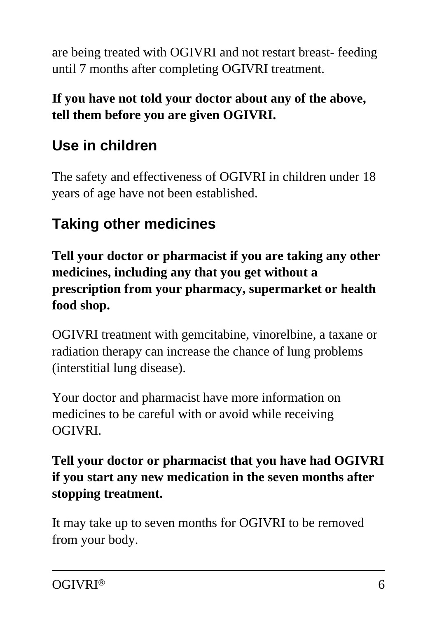are being treated with OGIVRI and not restart breast- feeding until 7 months after completing OGIVRI treatment.

#### **If you have not told your doctor about any of the above, tell them before you are given OGIVRI.**

## **Use in children**

The safety and effectiveness of OGIVRI in children under 18 years of age have not been established.

### **Taking other medicines**

**Tell your doctor or pharmacist if you are taking any other medicines, including any that you get without a prescription from your pharmacy, supermarket or health food shop.**

OGIVRI treatment with gemcitabine, vinorelbine, a taxane or radiation therapy can increase the chance of lung problems (interstitial lung disease).

Your doctor and pharmacist have more information on medicines to be careful with or avoid while receiving OGIVRI.

#### **Tell your doctor or pharmacist that you have had OGIVRI if you start any new medication in the seven months after stopping treatment.**

It may take up to seven months for OGIVRI to be removed from your body.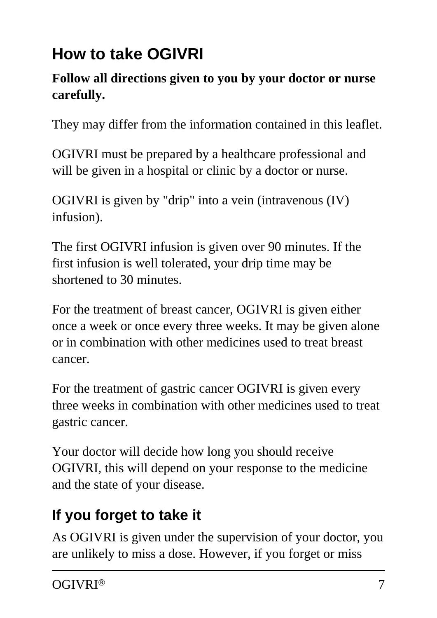# **How to take OGIVRI**

#### **Follow all directions given to you by your doctor or nurse carefully.**

They may differ from the information contained in this leaflet.

OGIVRI must be prepared by a healthcare professional and will be given in a hospital or clinic by a doctor or nurse.

OGIVRI is given by "drip" into a vein (intravenous (IV) infusion).

The first OGIVRI infusion is given over 90 minutes. If the first infusion is well tolerated, your drip time may be shortened to 30 minutes.

For the treatment of breast cancer, OGIVRI is given either once a week or once every three weeks. It may be given alone or in combination with other medicines used to treat breast cancer.

For the treatment of gastric cancer OGIVRI is given every three weeks in combination with other medicines used to treat gastric cancer.

Your doctor will decide how long you should receive OGIVRI, this will depend on your response to the medicine and the state of your disease.

## **If you forget to take it**

As OGIVRI is given under the supervision of your doctor, you are unlikely to miss a dose. However, if you forget or miss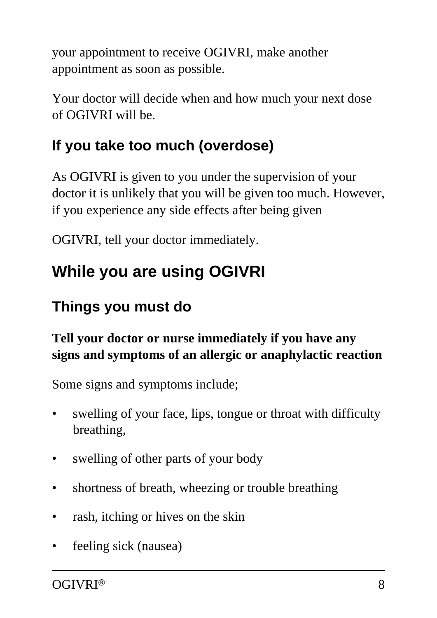your appointment to receive OGIVRI, make another appointment as soon as possible.

Your doctor will decide when and how much your next dose of OGIVRI will be.

## **If you take too much (overdose)**

As OGIVRI is given to you under the supervision of your doctor it is unlikely that you will be given too much. However, if you experience any side effects after being given

OGIVRI, tell your doctor immediately.

# **While you are using OGIVRI**

### **Things you must do**

#### **Tell your doctor or nurse immediately if you have any signs and symptoms of an allergic or anaphylactic reaction**

Some signs and symptoms include;

- swelling of your face, lips, tongue or throat with difficulty breathing,
- swelling of other parts of your body
- shortness of breath, wheezing or trouble breathing
- rash, itching or hives on the skin
- feeling sick (nausea)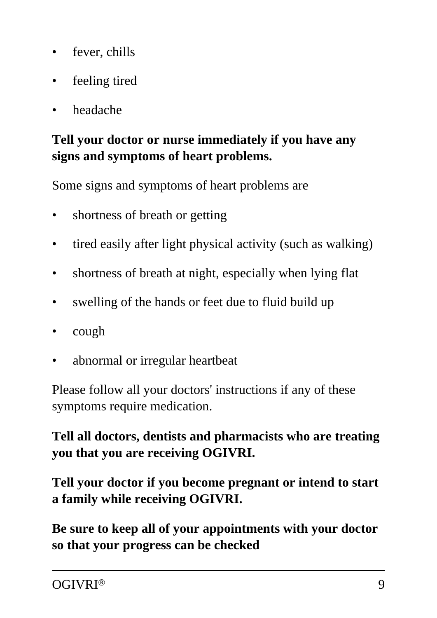- fever, chills
- feeling tired
- headache

#### **Tell your doctor or nurse immediately if you have any signs and symptoms of heart problems.**

Some signs and symptoms of heart problems are

- shortness of breath or getting
- tired easily after light physical activity (such as walking)
- shortness of breath at night, especially when lying flat
- swelling of the hands or feet due to fluid build up
- cough
- abnormal or irregular heartbeat

Please follow all your doctors' instructions if any of these symptoms require medication.

#### **Tell all doctors, dentists and pharmacists who are treating you that you are receiving OGIVRI.**

#### **Tell your doctor if you become pregnant or intend to start a family while receiving OGIVRI.**

**Be sure to keep all of your appointments with your doctor so that your progress can be checked**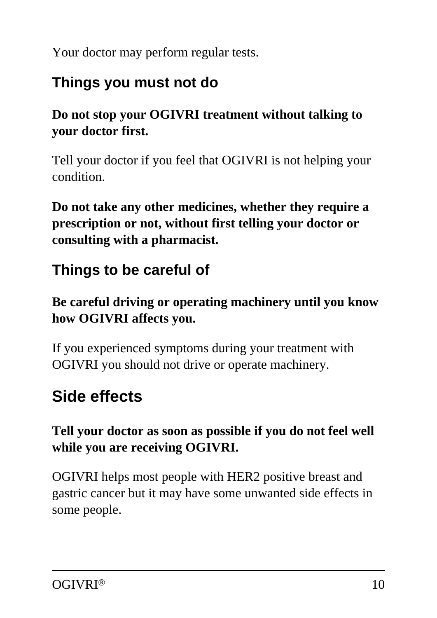Your doctor may perform regular tests.

### **Things you must not do**

#### **Do not stop your OGIVRI treatment without talking to your doctor first.**

Tell your doctor if you feel that OGIVRI is not helping your condition.

**Do not take any other medicines, whether they require a prescription or not, without first telling your doctor or consulting with a pharmacist.**

### **Things to be careful of**

#### **Be careful driving or operating machinery until you know how OGIVRI affects you.**

If you experienced symptoms during your treatment with OGIVRI you should not drive or operate machinery.

## **Side effects**

#### **Tell your doctor as soon as possible if you do not feel well while you are receiving OGIVRI.**

OGIVRI helps most people with HER2 positive breast and gastric cancer but it may have some unwanted side effects in some people.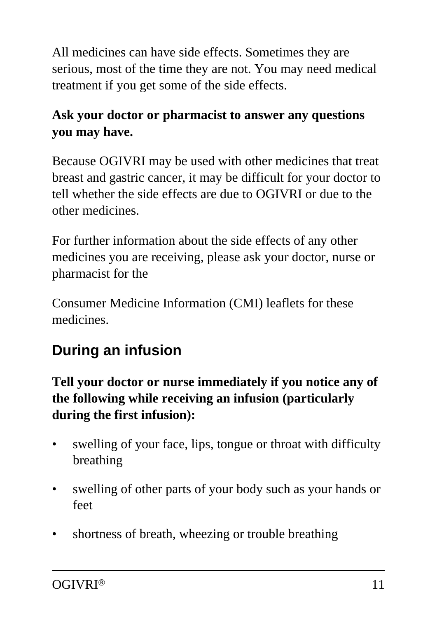All medicines can have side effects. Sometimes they are serious, most of the time they are not. You may need medical treatment if you get some of the side effects.

#### **Ask your doctor or pharmacist to answer any questions you may have.**

Because OGIVRI may be used with other medicines that treat breast and gastric cancer, it may be difficult for your doctor to tell whether the side effects are due to OGIVRI or due to the other medicines.

For further information about the side effects of any other medicines you are receiving, please ask your doctor, nurse or pharmacist for the

Consumer Medicine Information (CMI) leaflets for these medicines.

## **During an infusion**

**Tell your doctor or nurse immediately if you notice any of the following while receiving an infusion (particularly during the first infusion):**

- swelling of your face, lips, tongue or throat with difficulty breathing
- swelling of other parts of your body such as your hands or feet
- shortness of breath, wheezing or trouble breathing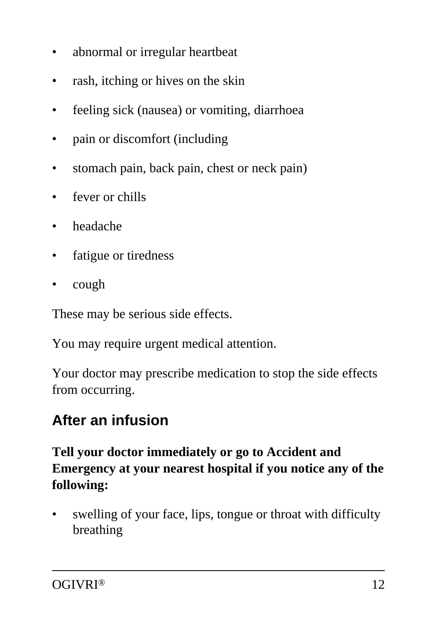- abnormal or irregular heartbeat
- rash, itching or hives on the skin
- feeling sick (nausea) or vomiting, diarrhoea
- pain or discomfort (including
- stomach pain, back pain, chest or neck pain)
- fever or chills
- headache
- fatigue or tiredness
- cough

These may be serious side effects.

You may require urgent medical attention.

Your doctor may prescribe medication to stop the side effects from occurring.

### **After an infusion**

#### **Tell your doctor immediately or go to Accident and Emergency at your nearest hospital if you notice any of the following:**

swelling of your face, lips, tongue or throat with difficulty breathing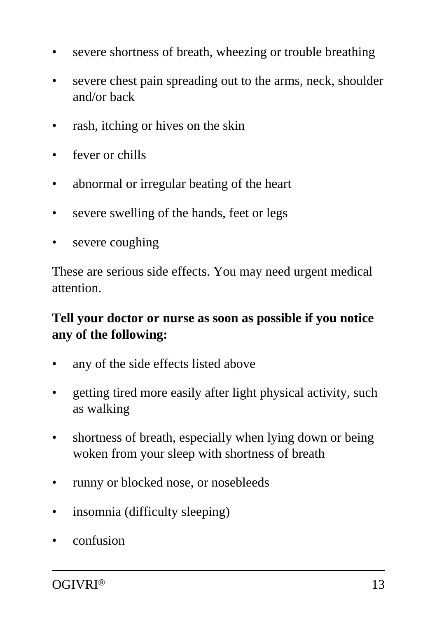- severe shortness of breath, wheezing or trouble breathing
- severe chest pain spreading out to the arms, neck, shoulder and/or back
- rash, itching or hives on the skin
- fever or chills
- abnormal or irregular beating of the heart
- severe swelling of the hands, feet or legs
- severe coughing

These are serious side effects. You may need urgent medical attention.

#### **Tell your doctor or nurse as soon as possible if you notice any of the following:**

- any of the side effects listed above
- getting tired more easily after light physical activity, such as walking
- shortness of breath, especially when lying down or being woken from your sleep with shortness of breath
- runny or blocked nose, or nosebleeds
- insomnia (difficulty sleeping)
- confusion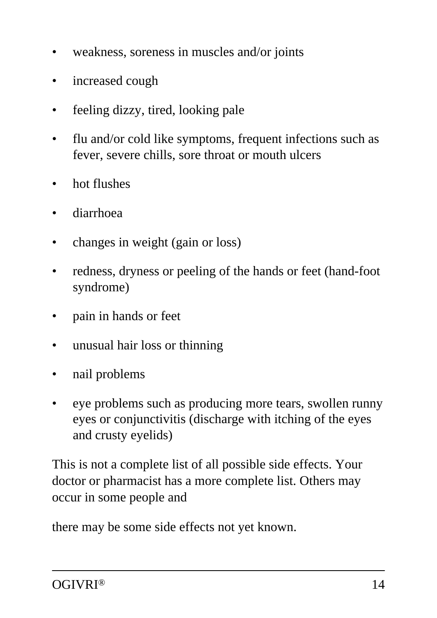- weakness, soreness in muscles and/or joints
- increased cough
- feeling dizzy, tired, looking pale
- flu and/or cold like symptoms, frequent infections such as fever, severe chills, sore throat or mouth ulcers
- hot flushes
- diarrhoea
- changes in weight (gain or loss)
- redness, dryness or peeling of the hands or feet (hand-foot syndrome)
- pain in hands or feet
- unusual hair loss or thinning
- nail problems
- eye problems such as producing more tears, swollen runny eyes or conjunctivitis (discharge with itching of the eyes and crusty eyelids)

This is not a complete list of all possible side effects. Your doctor or pharmacist has a more complete list. Others may occur in some people and

there may be some side effects not yet known.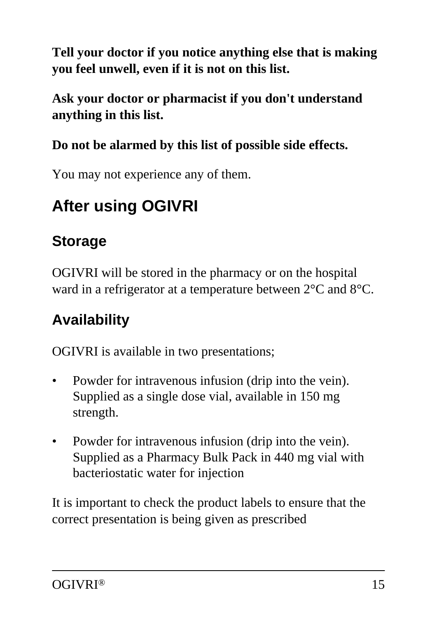**Tell your doctor if you notice anything else that is making you feel unwell, even if it is not on this list.**

**Ask your doctor or pharmacist if you don't understand anything in this list.**

#### **Do not be alarmed by this list of possible side effects.**

You may not experience any of them.

# **After using OGIVRI**

## **Storage**

OGIVRI will be stored in the pharmacy or on the hospital ward in a refrigerator at a temperature between 2°C and 8°C.

## **Availability**

OGIVRI is available in two presentations;

- Powder for intravenous infusion (drip into the vein). Supplied as a single dose vial, available in 150 mg strength.
- Powder for intravenous infusion (drip into the vein). Supplied as a Pharmacy Bulk Pack in 440 mg vial with bacteriostatic water for injection

It is important to check the product labels to ensure that the correct presentation is being given as prescribed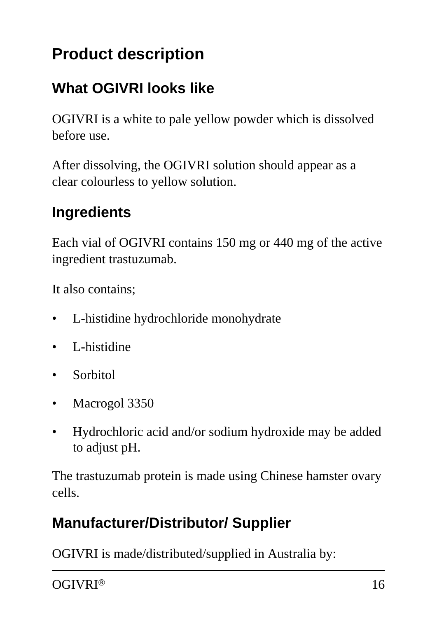# **Product description**

### **What OGIVRI looks like**

OGIVRI is a white to pale yellow powder which is dissolved before use.

After dissolving, the OGIVRI solution should appear as a clear colourless to yellow solution.

#### **Ingredients**

Each vial of OGIVRI contains 150 mg or 440 mg of the active ingredient trastuzumab.

It also contains;

- L-histidine hydrochloride monohydrate
- L-histidine
- Sorbitol
- Macrogol 3350
- Hydrochloric acid and/or sodium hydroxide may be added to adjust pH.

The trastuzumab protein is made using Chinese hamster ovary cells.

### **Manufacturer/Distributor/ Supplier**

OGIVRI is made/distributed/supplied in Australia by:

OGIVRI® 16